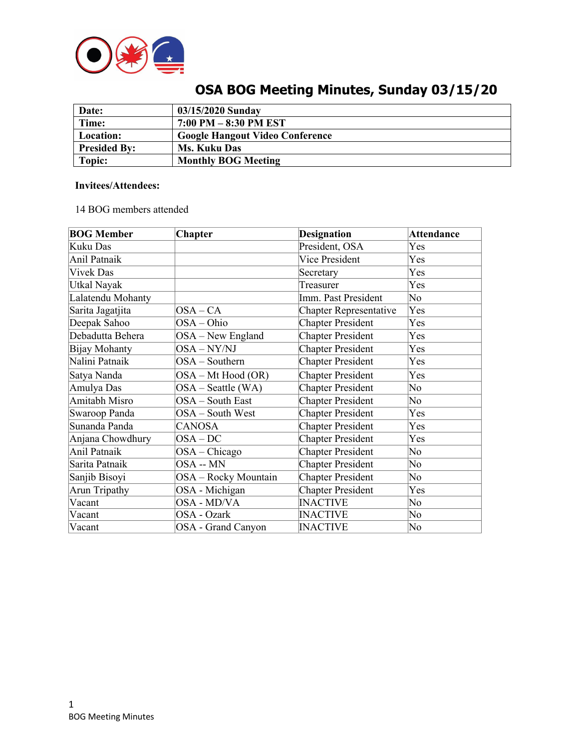

| Date:               | 03/15/2020 Sunday                      |
|---------------------|----------------------------------------|
| Time:               | $7:00$ PM $-8:30$ PM EST               |
| Location:           | <b>Google Hangout Video Conference</b> |
| <b>Presided By:</b> | Ms. Kuku Das                           |
| Topic:              | <b>Monthly BOG Meeting</b>             |

# **OSA BOG Meeting Minutes, Sunday 03/15/20**

# **Invitees/Attendees:**

14 BOG members attended

| <b>BOG Member</b> | Chapter              | <b>Designation</b>            | <b>Attendance</b> |
|-------------------|----------------------|-------------------------------|-------------------|
| Kuku Das          |                      | President, OSA                | Yes               |
| Anil Patnaik      |                      | Vice President                | Yes               |
| <b>Vivek Das</b>  |                      | Secretary                     | Yes               |
| Utkal Nayak       |                      | Treasurer                     | Yes               |
| Lalatendu Mohanty |                      | Imm. Past President           | No                |
| Sarita Jagatjita  | $OSA-CA$             | <b>Chapter Representative</b> | Yes               |
| Deepak Sahoo      | OSA-Ohio             | <b>Chapter President</b>      | Yes               |
| Debadutta Behera  | $OSA - New England$  | <b>Chapter President</b>      | Yes               |
| Bijay Mohanty     | OSA-NY/NJ            | <b>Chapter President</b>      | Yes               |
| Nalini Patnaik    | OSA - Southern       | <b>Chapter President</b>      | Yes               |
| Satya Nanda       | OSA - Mt Hood (OR)   | <b>Chapter President</b>      | Yes               |
| Amulya Das        | $OSA - Seattle (WA)$ | <b>Chapter President</b>      | No                |
| Amitabh Misro     | OSA - South East     | <b>Chapter President</b>      | No                |
| Swaroop Panda     | OSA - South West     | <b>Chapter President</b>      | Yes               |
| Sunanda Panda     | <b>CANOSA</b>        | <b>Chapter President</b>      | Yes               |
| Anjana Chowdhury  | $OSA-DC$             | <b>Chapter President</b>      | Yes               |
| Anil Patnaik      | $OSA - Chicago$      | <b>Chapter President</b>      | No                |
| Sarita Patnaik    | OSA -- MN            | Chapter President             | No                |
| Sanjib Bisoyi     | OSA - Rocky Mountain | <b>Chapter President</b>      | No                |
| Arun Tripathy     | OSA - Michigan       | <b>Chapter President</b>      | Yes               |
| Vacant            | OSA - MD/VA          | <b>INACTIVE</b>               | No                |
| Vacant            | OSA - Ozark          | <b>INACTIVE</b>               | No                |
| Vacant            | OSA - Grand Canyon   | <b>INACTIVE</b>               | No                |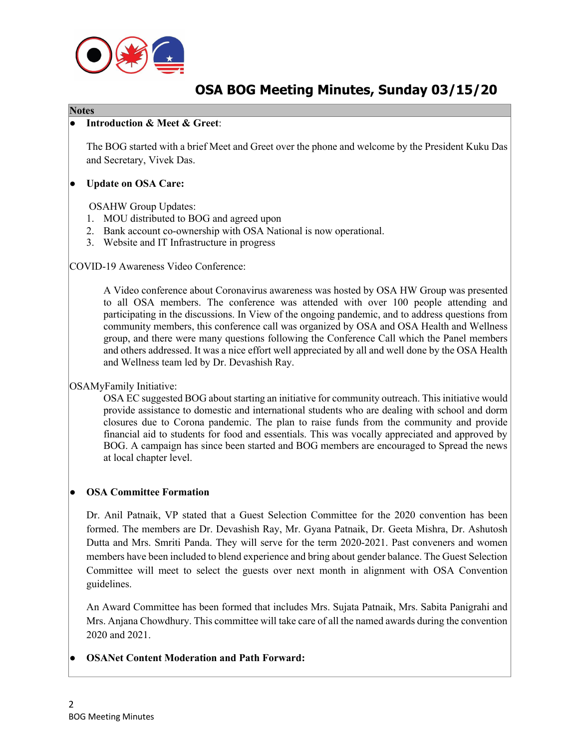

# **OSA BOG Meeting Minutes, Sunday 03/15/20**

#### **Notes**

#### ● **Introduction & Meet & Greet**:

The BOG started with a brief Meet and Greet over the phone and welcome by the President Kuku Das and Secretary, Vivek Das.

#### ● **Update on OSA Care:**

OSAHW Group Updates:

- 1. MOU distributed to BOG and agreed upon
- 2. Bank account co-ownership with OSA National is now operational.
- 3. Website and IT Infrastructure in progress

COVID-19 Awareness Video Conference:

A Video conference about Coronavirus awareness was hosted by OSA HW Group was presented to all OSA members. The conference was attended with over 100 people attending and participating in the discussions. In View of the ongoing pandemic, and to address questions from community members, this conference call was organized by OSA and OSA Health and Wellness group, and there were many questions following the Conference Call which the Panel members and others addressed. It was a nice effort well appreciated by all and well done by the OSA Health and Wellness team led by Dr. Devashish Ray.

# OSAMyFamily Initiative:

OSA EC suggested BOG about starting an initiative for community outreach. This initiative would provide assistance to domestic and international students who are dealing with school and dorm closures due to Corona pandemic. The plan to raise funds from the community and provide financial aid to students for food and essentials. This was vocally appreciated and approved by BOG. A campaign has since been started and BOG members are encouraged to Spread the news at local chapter level.

#### ● **OSA Committee Formation**

Dr. Anil Patnaik, VP stated that a Guest Selection Committee for the 2020 convention has been formed. The members are Dr. Devashish Ray, Mr. Gyana Patnaik, Dr. Geeta Mishra, Dr. Ashutosh Dutta and Mrs. Smriti Panda. They will serve for the term 2020-2021. Past conveners and women members have been included to blend experience and bring about gender balance. The Guest Selection Committee will meet to select the guests over next month in alignment with OSA Convention guidelines.

An Award Committee has been formed that includes Mrs. Sujata Patnaik, Mrs. Sabita Panigrahi and Mrs. Anjana Chowdhury. This committee will take care of all the named awards during the convention 2020 and 2021.

#### **OSANet Content Moderation and Path Forward:**